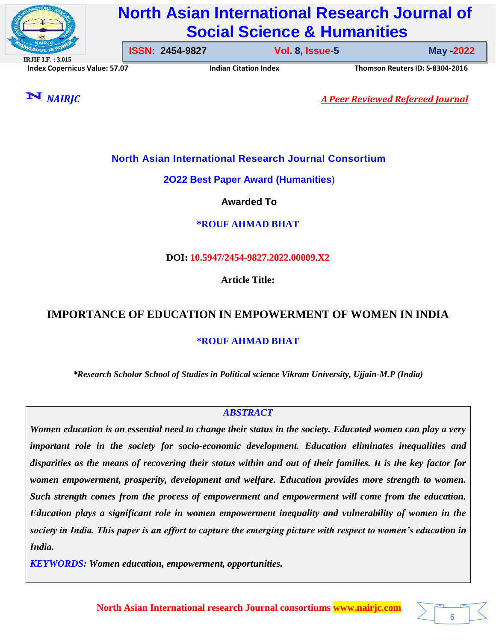

# **North Asian International Research Journal of Social Science & Humanities**

**ISSN: 2454-9827 Vol. 8, Issue-1 January -2022**

**Vol. 8, Issue-5** 

**IRJIF I.F. : 3.015 Index Copernicus Value: 57.07 Indian Citation Index Thomson ReutersID: S-8304-2016**

6



*NAIRJC A Peer Reviewed Refereed Journal*

# **North Asian International Research Journal Consortium**

**2O22 Best Paper Award (Humanities**)

**Awarded To**

**\*ROUF AHMAD BHAT**

# **DOI: 10.5947/2454-9827.2022.00009.X2**

**Article Title:**

# **IMPORTANCE OF EDUCATION IN EMPOWERMENT OF WOMEN IN INDIA**

# **\*ROUF AHMAD BHAT**

*\*Research Scholar School of Studies in Political science Vikram University, Ujjain-M.P (India)*

# *ABSTRACT*

*Women education is an essential need to change their status in the society. Educated women can play a very important role in the society for socio-economic development. Education eliminates inequalities and disparities as the means of recovering their status within and out of their families. It is the key factor for women empowerment, prosperity, development and welfare. Education provides more strength to women. Such strength comes from the process of empowerment and empowerment will come from the education. Education plays a significant role in women empowerment inequality and vulnerability of women in the society in India. This paper is an effort to capture the emerging picture with respect to women's education in India.*

*KEYWORDS: Women education, empowerment, opportunities.*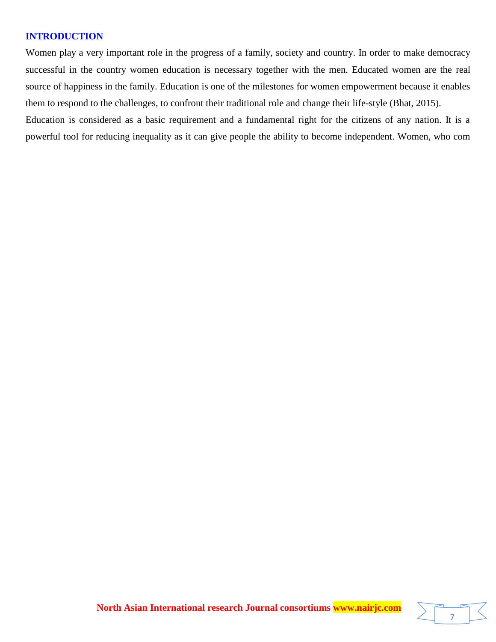## **INTRODUCTION**

Women play a very important role in the progress of a family, society and country. In order to make democracy successful in the country women education is necessary together with the men. Educated women are the real source of happiness in the family. Education is one of the milestones for women empowerment because it enables them to respond to the challenges, to confront their traditional role and change their life-style (Bhat, 2015). Education is considered as a basic requirement and a fundamental right for the citizens of any nation. It is a

powerful tool for reducing inequality as it can give people the ability to become independent. Women, who com

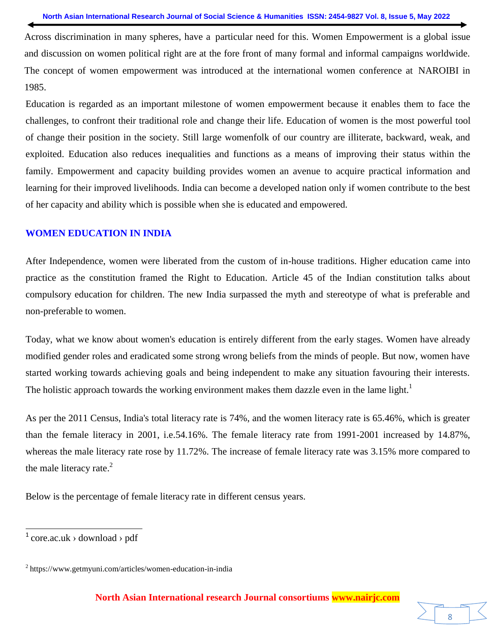Across discrimination in many spheres, have a particular need for this. Women Empowerment is a global issue and discussion on women political right are at the fore front of many formal and informal campaigns worldwide. The concept of women empowerment was introduced at the international women conference at NAROIBI in 1985.

Education is regarded as an important milestone of women empowerment because it enables them to face the challenges, to confront their traditional role and change their life. Education of women is the most powerful tool of change their position in the society. Still large womenfolk of our country are illiterate, backward, weak, and exploited. Education also reduces inequalities and functions as a means of improving their status within the family. Empowerment and capacity building provides women an avenue to acquire practical information and learning for their improved livelihoods. India can become a developed nation only if women contribute to the best of her capacity and ability which is possible when she is educated and empowered.

#### **WOMEN EDUCATION IN INDIA**

After Independence, women were liberated from the custom of in-house traditions. Higher education came into practice as the constitution framed the Right to Education. Article 45 of the Indian constitution talks about compulsory education for children. The new India surpassed the myth and stereotype of what is preferable and non-preferable to women.

Today, what we know about women's education is entirely different from the early stages. Women have already modified gender roles and eradicated some strong wrong beliefs from the minds of people. But now, women have started working towards achieving goals and being independent to make any situation favouring their interests. The holistic approach towards the working environment makes them dazzle even in the lame light.<sup>1</sup>

As per the 2011 Census, India's total literacy rate is 74%, and the women literacy rate is 65.46%, which is greater than the female literacy in 2001, i.e.54.16%. The female literacy rate from 1991-2001 increased by 14.87%, whereas the male literacy rate rose by 11.72%. The increase of female literacy rate was 3.15% more compared to the male literacy rate. $^{2}$ 

Below is the percentage of female literacy rate in different census years.

 $\frac{1}{1}$  core.ac.uk > download > pdf

<sup>&</sup>lt;sup>2</sup> https:/[/www.getmyuni.com/articles/women-education-in-india](http://www.getmyuni.com/articles/women-education-in-india)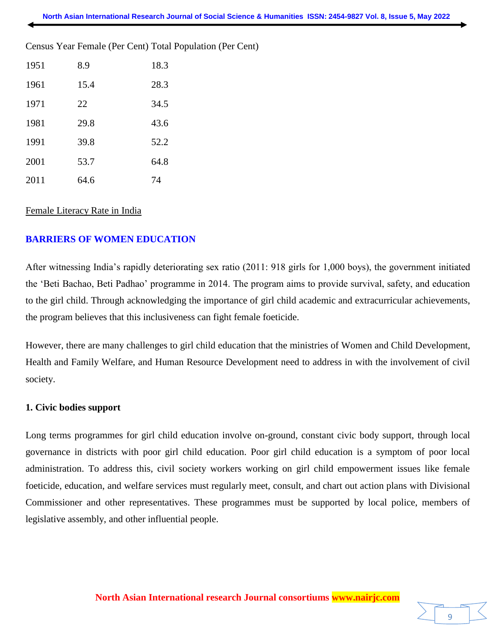Census Year Female (Per Cent) Total Population (Per Cent)

| 1951 | 8.9  | 18.3 |
|------|------|------|
| 1961 | 15.4 | 28.3 |
| 1971 | 22   | 34.5 |
| 1981 | 29.8 | 43.6 |
| 1991 | 39.8 | 52.2 |
| 2001 | 53.7 | 64.8 |
| 2011 | 64.6 | 74   |

#### Female Literacy Rate in India

## **BARRIERS OF WOMEN EDUCATION**

After witnessing India's rapidly deteriorating sex ratio (2011: 918 girls for 1,000 boys), the government initiated the 'Beti Bachao, Beti Padhao' programme in 2014. The program aims to provide survival, safety, and education to the girl child. Through acknowledging the importance of girl child academic and extracurricular achievements, the program believes that this inclusiveness can fight female foeticide.

However, there are many challenges to girl child education that the ministries of Women and Child Development, Health and Family Welfare, and Human Resource Development need to address in with the involvement of civil society.

#### **1. Civic bodies support**

Long terms programmes for girl child education involve on-ground, constant civic body support, through local governance in districts with poor girl child education. Poor girl child education is a symptom of poor local administration. To address this, civil society workers working on girl child empowerment issues like female foeticide, education, and welfare services must regularly meet, consult, and chart out action plans with Divisional Commissioner and other representatives. These programmes must be supported by local police, members of legislative assembly, and other influential people.

9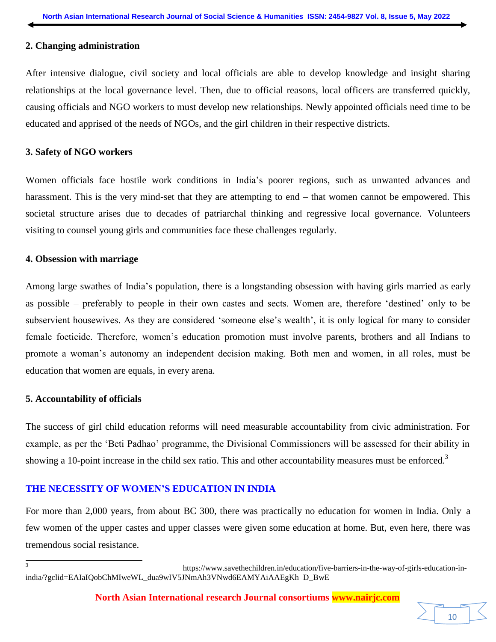#### **2. Changing administration**

After intensive dialogue, civil society and local officials are able to develop knowledge and insight sharing relationships at the local governance level. Then, due to official reasons, local officers are transferred quickly, causing officials and NGO workers to must develop new relationships. Newly appointed officials need time to be educated and apprised of the needs of NGOs, and the girl children in their respective districts.

#### **3. Safety of NGO workers**

Women officials face hostile work conditions in India's poorer regions, such as unwanted advances and harassment. This is the very mind-set that they are attempting to end – that women cannot be empowered. This societal structure arises due to decades of patriarchal thinking and regressive local governance. Volunteers visiting to counsel young girls and communities face these challenges regularly.

#### **4. Obsession with marriage**

Among large swathes of India's population, there is a longstanding obsession with having girls married as early as possible – preferably to people in their own castes and sects. Women are, therefore 'destined' only to be subservient housewives. As they are considered 'someone else's wealth', it is only logical for many to consider female foeticide. Therefore, women's education promotion must involve parents, brothers and all Indians to promote a woman's autonomy an independent decision making. Both men and women, in all roles, must be education that women are equals, in every arena.

## **5. Accountability of officials**

The success of girl child education reforms will need measurable accountability from civic administration. For example, as per the 'Beti Padhao' programme, the Divisional Commissioners will be assessed for their ability in showing a 10-point increase in the child sex ratio. This and other accountability measures must be enforced.<sup>3</sup>

# **THE NECESSITY OF WOMEN'S EDUCATION IN INDIA**

For more than 2,000 years, from about BC 300, there was practically no education for women in India. Only a few women of the upper castes and upper classes were given some education at home. But, even here, there was tremendous social resistance.

**North Asian International research Journal consortiums www.nairjc.com**

<sup>3</sup> https:/[/www.savethechildren.in/education/five-barriers-in-the-way-of-girls-education-in](http://www.savethechildren.in/education/five-barriers-in-the-way-of-girls-education-in-)india/?gclid=EAIaIQobChMIweWL\_dua9wIV5JNmAh3VNwd6EAMYAiAAEgKh D\_BwE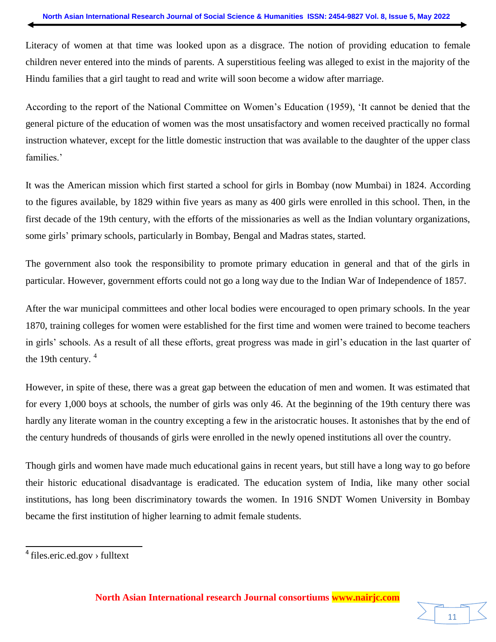Literacy of women at that time was looked upon as a disgrace. The notion of providing education to female children never entered into the minds of parents. A superstitious feeling was alleged to exist in the majority of the Hindu families that a girl taught to read and write will soon become a widow after marriage.

According to the report of the National Committee on Women's Education (1959), 'It cannot be denied that the general picture of the education of women was the most unsatisfactory and women received practically no formal instruction whatever, except for the little domestic instruction that was available to the daughter of the upper class families.'

It was the American mission which first started a school for girls in Bombay (now Mumbai) in 1824. According to the figures available, by 1829 within five years as many as 400 girls were enrolled in this school. Then, in the first decade of the 19th century, with the efforts of the missionaries as well as the Indian voluntary organizations, some girls' primary schools, particularly in Bombay, Bengal and Madras states, started.

The government also took the responsibility to promote primary education in general and that of the girls in particular. However, government efforts could not go a long way due to the Indian War of Independence of 1857.

After the war municipal committees and other local bodies were encouraged to open primary schools. In the year 1870, training colleges for women were established for the first time and women were trained to become teachers in girls' schools. As a result of all these efforts, great progress was made in girl's education in the last quarter of the 19th century.  $4\overline{ }$ 

However, in spite of these, there was a great gap between the education of men and women. It was estimated that for every 1,000 boys at schools, the number of girls was only 46. At the beginning of the 19th century there was hardly any literate woman in the country excepting a few in the aristocratic houses. It astonishes that by the end of the century hundreds of thousands of girls were enrolled in the newly opened institutions all over the country.

Though girls and women have made much educational gains in recent years, but still have a long way to go before their historic educational disadvantage is eradicated. The education system of India, like many other social institutions, has long been discriminatory towards the women. In 1916 SNDT Women University in Bombay became the first institution of higher learning to admit female students.



<sup>&</sup>lt;sup>4</sup> files.eric.ed.gov > fulltext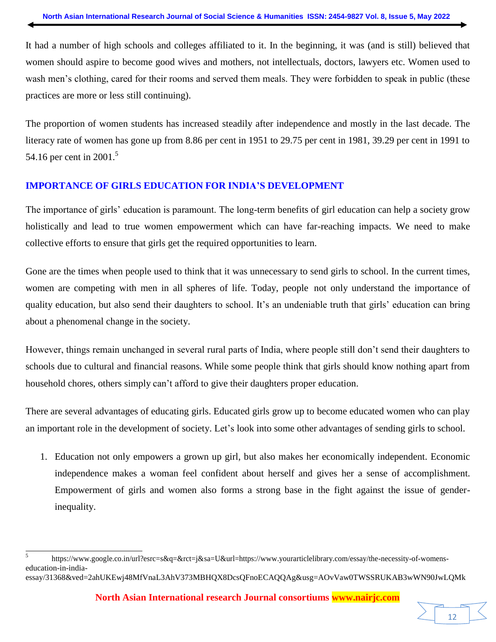It had a number of high schools and colleges affiliated to it. In the beginning, it was (and is still) believed that women should aspire to become good wives and mothers, not intellectuals, doctors, lawyers etc. Women used to wash men's clothing, cared for their rooms and served them meals. They were forbidden to speak in public (these practices are more or less still continuing).

The proportion of women students has increased steadily after independence and mostly in the last decade. The literacy rate of women has gone up from 8.86 per cent in 1951 to 29.75 per cent in 1981, 39.29 per cent in 1991 to 54.16 per cent in 2001.<sup>5</sup>

# **IMPORTANCE OF GIRLS EDUCATION FOR INDIA'S DEVELOPMENT**

The importance of girls' education is paramount. The long-term benefits of girl education can help a society grow holistically and lead to true women empowerment which can have far-reaching impacts. We need to make collective efforts to ensure that girls get the required opportunities to learn.

Gone are the times when people used to think that it was unnecessary to send girls to school. In the current times, women are competing with men in all spheres of life. Today, people not only understand the importance of quality education, but also send their daughters to school. It's an undeniable truth that girls' education can bring about a phenomenal change in the society.

However, things remain unchanged in several rural parts of India, where people still don't send their daughters to schools due to cultural and financial reasons. While some people think that girls should know nothing apart from household chores, others simply can't afford to give their daughters proper education.

There are several advantages of educating girls. Educated girls grow up to become educated women who can play an important role in the development of society. Let's look into some other advantages of sending girls to school.

1. Education not only empowers a grown up girl, but also makes her economically independent. Economic independence makes a woman feel confident about herself and gives her a sense of accomplishment. Empowerment of girls and women also forms a strong base in the fight against the issue of genderinequality.

12

<sup>5</sup> https://www.google.co.in/url?esrc=s&q=&rct=j&sa=U&url=https:/[/www.yourarticlelibrary.com/essay/the-necessity-of-womens](http://www.yourarticlelibrary.com/essay/the-necessity-of-womens-)education-in-india-